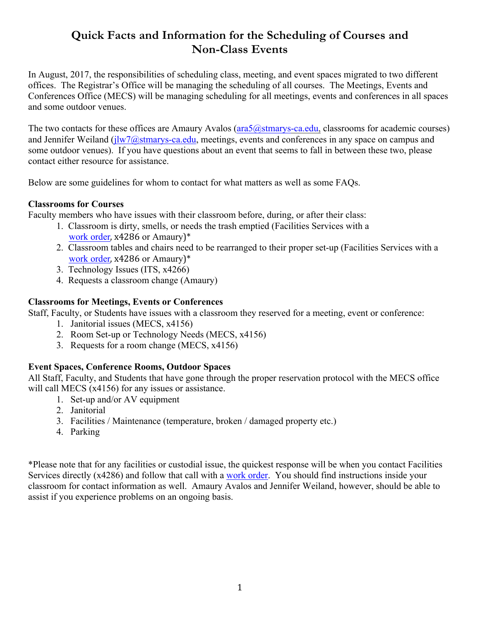# **Quick Facts and Information for the Scheduling of Courses and Non-Class Events**

In August, 2017, the responsibilities of scheduling class, meeting, and event spaces migrated to two different offices. The Registrar's Office will be managing the scheduling of all courses. The Meetings, Events and Conferences Office (MECS) will be managing scheduling for all meetings, events and conferences in all spaces and some outdoor venues.

The two contacts for these offices are Amaury Avalos (ara5@stmarys-ca.edu, classrooms for academic courses) and Jennifer Weiland ( $\frac{1}{W}$ *(* $\frac{a}{S}$ *stmarys-ca.edu, meetings, events and conferences in any space on campus and* some outdoor venues). If you have questions about an event that seems to fall in between these two, please contact either resource for assistance.

Below are some guidelines for whom to contact for what matters as well as some FAQs.

#### **Classrooms for Courses**

Faculty members who have issues with their classroom before, during, or after their class:

- 1. Classroom is dirty, smells, or needs the trash emptied (Facilities Services with a work order, x4286 or Amaury)\*
- 2. Classroom tables and chairs need to be rearranged to their proper set-up (Facilities Services with a work order, x4286 or Amaury)\*
- 3. Technology Issues (ITS, x4266)
- 4. Requests a classroom change (Amaury)

#### **Classrooms for Meetings, Events or Conferences**

Staff, Faculty, or Students have issues with a classroom they reserved for a meeting, event or conference:

- 1. Janitorial issues (MECS, x4156)
- 2. Room Set-up or Technology Needs (MECS, x4156)
- 3. Requests for a room change (MECS, x4156)

## **Event Spaces, Conference Rooms, Outdoor Spaces**

All Staff, Faculty, and Students that have gone through the proper reservation protocol with the MECS office will call MECS (x4156) for any issues or assistance.

- 1. Set-up and/or AV equipment
- 2. Janitorial
- 3. Facilities / Maintenance (temperature, broken / damaged property etc.)
- 4. Parking

\*Please note that for any facilities or custodial issue, the quickest response will be when you contact Facilities Services directly (x4286) and follow that call with a work order. You should find instructions inside your classroom for contact information as well. Amaury Avalos and Jennifer Weiland, however, should be able to assist if you experience problems on an ongoing basis.